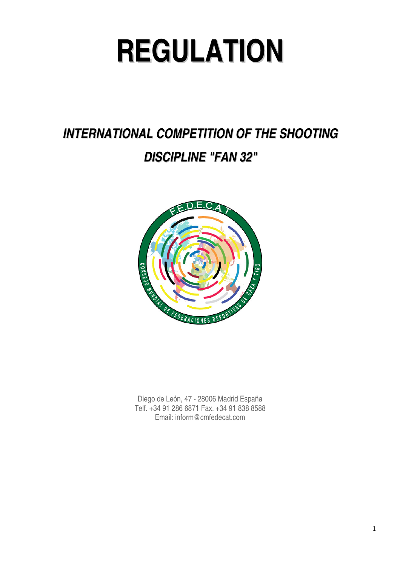# **REGULATION**

# **INTERNATIONAL COMPETITION OF THE SHOOTING DISCIPLINE "FAN 32"**



Diego de León, 47 - 28006 Madrid España Telf. +34 91 286 6871 Fax. +34 91 838 8588 Email: inform@cmfedecat.com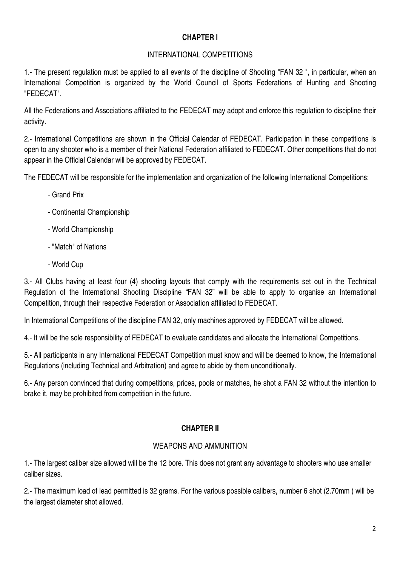## **CHAPTER I**

#### INTERNATIONAL COMPETITIONS

1.- The present regulation must be applied to all events of the discipline of Shooting "FAN 32 ", in particular, when an International Competition is organized by the World Council of Sports Federations of Hunting and Shooting "FEDECAT".

All the Federations and Associations affiliated to the FEDECAT may adopt and enforce this regulation to discipline their activity.

2.- International Competitions are shown in the Official Calendar of FEDECAT. Participation in these competitions is open to any shooter who is a member of their National Federation affiliated to FEDECAT. Other competitions that do not appear in the Official Calendar will be approved by FEDECAT.

The FEDECAT will be responsible for the implementation and organization of the following International Competitions:

- Grand Prix
- Continental Championship
- World Championship
- "Match" of Nations
- World Cup

3.- All Clubs having at least four (4) shooting layouts that comply with the requirements set out in the Technical Regulation of the International Shooting Discipline "FAN 32" will be able to apply to organise an International Competition, through their respective Federation or Association affiliated to FEDECAT.

In International Competitions of the discipline FAN 32, only machines approved by FEDECAT will be allowed.

4.- It will be the sole responsibility of FEDECAT to evaluate candidates and allocate the International Competitions.

5.- All participants in any International FEDECAT Competition must know and will be deemed to know, the International Regulations (including Technical and Arbitration) and agree to abide by them unconditionally.

6.- Any person convinced that during competitions, prices, pools or matches, he shot a FAN 32 without the intention to brake it, may be prohibited from competition in the future.

#### **CHAPTER II**

#### WEAPONS AND AMMUNITION

1.- The largest caliber size allowed will be the 12 bore. This does not grant any advantage to shooters who use smaller caliber sizes.

2.- The maximum load of lead permitted is 32 grams. For the various possible calibers, number 6 shot (2.70mm ) will be the largest diameter shot allowed.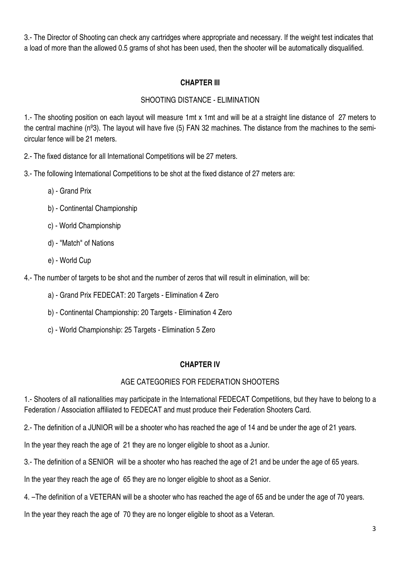3.- The Director of Shooting can check any cartridges where appropriate and necessary. If the weight test indicates that a load of more than the allowed 0.5 grams of shot has been used, then the shooter will be automatically disqualified.

#### **CHAPTER III**

# SHOOTING DISTANCE - ELIMINATION

1.- The shooting position on each layout will measure 1mt x 1mt and will be at a straight line distance of 27 meters to the central machine (nº3). The layout will have five (5) FAN 32 machines. The distance from the machines to the semicircular fence will be 21 meters.

2.- The fixed distance for all International Competitions will be 27 meters.

3.- The following International Competitions to be shot at the fixed distance of 27 meters are:

- a) Grand Prix
- b) Continental Championship
- c) World Championship
- d) "Match" of Nations
- e) World Cup

4.- The number of targets to be shot and the number of zeros that will result in elimination, will be:

- a) Grand Prix FEDECAT: 20 Targets Elimination 4 Zero
- b) Continental Championship: 20 Targets Elimination 4 Zero
- c) World Championship: 25 Targets Elimination 5 Zero

# **CHAPTER IV**

# AGE CATEGORIES FOR FEDERATION SHOOTERS

1.- Shooters of all nationalities may participate in the International FEDECAT Competitions, but they have to belong to a Federation / Association affiliated to FEDECAT and must produce their Federation Shooters Card.

2.- The definition of a JUNIOR will be a shooter who has reached the age of 14 and be under the age of 21 years.

In the year they reach the age of 21 they are no longer eligible to shoot as a Junior.

3.- The definition of a SENIOR will be a shooter who has reached the age of 21 and be under the age of 65 years.

In the year they reach the age of 65 they are no longer eligible to shoot as a Senior.

4. –The definition of a VETERAN will be a shooter who has reached the age of 65 and be under the age of 70 years.

In the year they reach the age of 70 they are no longer eligible to shoot as a Veteran.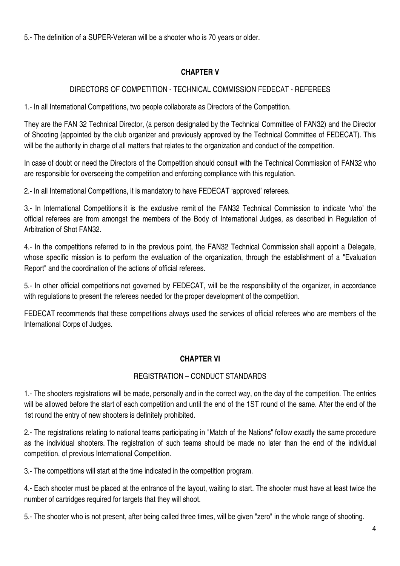5.- The definition of a SUPER-Veteran will be a shooter who is 70 years or older.

# **CHAPTER V**

### DIRECTORS OF COMPETITION - TECHNICAL COMMISSION FEDECAT - REFEREES

1.- In all International Competitions, two people collaborate as Directors of the Competition.

They are the FAN 32 Technical Director, (a person designated by the Technical Committee of FAN32) and the Director of Shooting (appointed by the club organizer and previously approved by the Technical Committee of FEDECAT). This will be the authority in charge of all matters that relates to the organization and conduct of the competition.

In case of doubt or need the Directors of the Competition should consult with the Technical Commission of FAN32 who are responsible for overseeing the competition and enforcing compliance with this regulation.

2.- In all International Competitions, it is mandatory to have FEDECAT 'approved' referees.

3.- In International Competitions it is the exclusive remit of the FAN32 Technical Commission to indicate 'who' the official referees are from amongst the members of the Body of International Judges, as described in Regulation of Arbitration of Shot FAN32.

4.- In the competitions referred to in the previous point, the FAN32 Technical Commission shall appoint a Delegate, whose specific mission is to perform the evaluation of the organization, through the establishment of a "Evaluation Report" and the coordination of the actions of official referees.

5.- In other official competitions not governed by FEDECAT, will be the responsibility of the organizer, in accordance with regulations to present the referees needed for the proper development of the competition.

FEDECAT recommends that these competitions always used the services of official referees who are members of the International Corps of Judges.

#### **CHAPTER VI**

#### REGISTRATION – CONDUCT STANDARDS

1.- The shooters registrations will be made, personally and in the correct way, on the day of the competition. The entries will be allowed before the start of each competition and until the end of the 1ST round of the same. After the end of the 1st round the entry of new shooters is definitely prohibited.

2.- The registrations relating to national teams participating in "Match of the Nations" follow exactly the same procedure as the individual shooters. The registration of such teams should be made no later than the end of the individual competition, of previous International Competition.

3.- The competitions will start at the time indicated in the competition program.

4.- Each shooter must be placed at the entrance of the layout, waiting to start. The shooter must have at least twice the number of cartridges required for targets that they will shoot.

5.- The shooter who is not present, after being called three times, will be given "zero" in the whole range of shooting.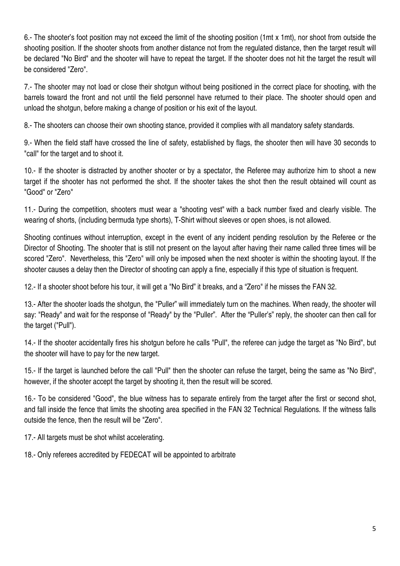6.- The shooter's foot position may not exceed the limit of the shooting position (1mt x 1mt), nor shoot from outside the shooting position. If the shooter shoots from another distance not from the regulated distance, then the target result will be declared "No Bird" and the shooter will have to repeat the target. If the shooter does not hit the target the result will be considered "Zero".

7.- The shooter may not load or close their shotgun without being positioned in the correct place for shooting, with the barrels toward the front and not until the field personnel have returned to their place. The shooter should open and unload the shotgun, before making a change of position or his exit of the layout.

8.- The shooters can choose their own shooting stance, provided it complies with all mandatory safety standards.

9.- When the field staff have crossed the line of safety, established by flags, the shooter then will have 30 seconds to "call" for the target and to shoot it.

10.- If the shooter is distracted by another shooter or by a spectator, the Referee may authorize him to shoot a new target if the shooter has not performed the shot. If the shooter takes the shot then the result obtained will count as "Good" or "Zero"

11.- During the competition, shooters must wear a "shooting vest" with a back number fixed and clearly visible. The wearing of shorts, (including bermuda type shorts), T-Shirt without sleeves or open shoes, is not allowed.

Shooting continues without interruption, except in the event of any incident pending resolution by the Referee or the Director of Shooting. The shooter that is still not present on the layout after having their name called three times will be scored "Zero". Nevertheless, this "Zero" will only be imposed when the next shooter is within the shooting layout. If the shooter causes a delay then the Director of shooting can apply a fine, especially if this type of situation is frequent.

12.- If a shooter shoot before his tour, it will get a "No Bird" it breaks, and a "Zero" if he misses the FAN 32.

13.- After the shooter loads the shotgun, the "Puller" will immediately turn on the machines. When ready, the shooter will say: "Ready" and wait for the response of "Ready" by the "Puller". After the "Puller's" reply, the shooter can then call for the target ("Pull").

14.- If the shooter accidentally fires his shotgun before he calls "Pull", the referee can judge the target as "No Bird", but the shooter will have to pay for the new target.

15.- If the target is launched before the call "Pull" then the shooter can refuse the target, being the same as "No Bird", however, if the shooter accept the target by shooting it, then the result will be scored.

16.- To be considered "Good", the blue witness has to separate entirely from the target after the first or second shot, and fall inside the fence that limits the shooting area specified in the FAN 32 Technical Regulations. If the witness falls outside the fence, then the result will be "Zero".

17.- All targets must be shot whilst accelerating.

18.- Only referees accredited by FEDECAT will be appointed to arbitrate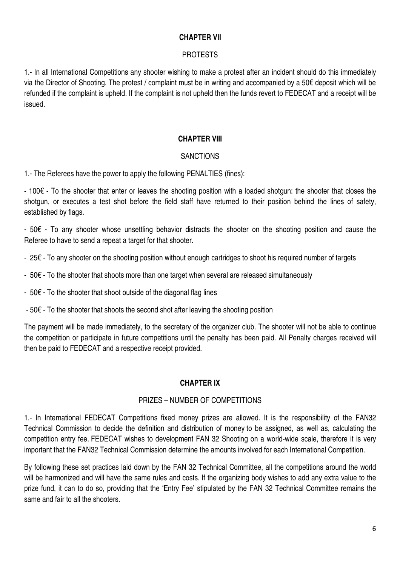#### **CHAPTER VII**

#### PROTESTS

1.- In all International Competitions any shooter wishing to make a protest after an incident should do this immediately via the Director of Shooting. The protest / complaint must be in writing and accompanied by a 50€ deposit which will be refunded if the complaint is upheld. If the complaint is not upheld then the funds revert to FEDECAT and a receipt will be issued.

#### **CHAPTER VIII**

#### **SANCTIONS**

1.- The Referees have the power to apply the following PENALTIES (fines):

- 100€ - To the shooter that enter or leaves the shooting position with a loaded shotgun: the shooter that closes the shotgun, or executes a test shot before the field staff have returned to their position behind the lines of safety, established by flags.

- 50€ - To any shooter whose unsettling behavior distracts the shooter on the shooting position and cause the Referee to have to send a repeat a target for that shooter.

- 25€ - To any shooter on the shooting position without enough cartridges to shoot his required number of targets

- 50€ To the shooter that shoots more than one target when several are released simultaneously
- 50€ To the shooter that shoot outside of the diagonal flag lines
- 50€ To the shooter that shoots the second shot after leaving the shooting position

The payment will be made immediately, to the secretary of the organizer club. The shooter will not be able to continue the competition or participate in future competitions until the penalty has been paid. All Penalty charges received will then be paid to FEDECAT and a respective receipt provided.

#### **CHAPTER IX**

#### PRIZES – NUMBER OF COMPETITIONS

1.- In International FEDECAT Competitions fixed money prizes are allowed. It is the responsibility of the FAN32 Technical Commission to decide the definition and distribution of money to be assigned, as well as, calculating the competition entry fee. FEDECAT wishes to development FAN 32 Shooting on a world-wide scale, therefore it is very important that the FAN32 Technical Commission determine the amounts involved for each International Competition.

By following these set practices laid down by the FAN 32 Technical Committee, all the competitions around the world will be harmonized and will have the same rules and costs. If the organizing body wishes to add any extra value to the prize fund, it can to do so, providing that the 'Entry Fee' stipulated by the FAN 32 Technical Committee remains the same and fair to all the shooters.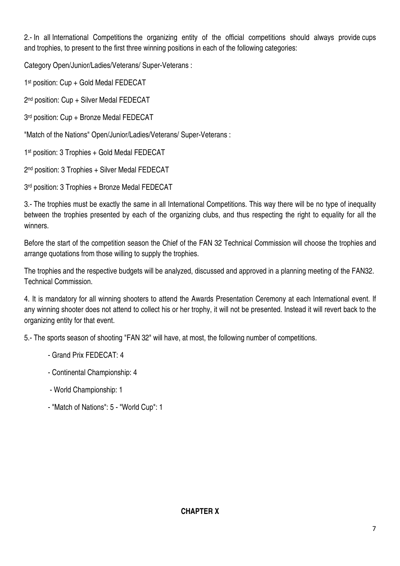2.- In all International Competitions the organizing entity of the official competitions should always provide cups and trophies, to present to the first three winning positions in each of the following categories:

Category Open/Junior/Ladies/Veterans/ Super-Veterans :

1<sup>st</sup> position: Cup + Gold Medal FEDECAT

2 nd position: Cup + Silver Medal FEDECAT

3 rd position: Cup + Bronze Medal FEDECAT

"Match of the Nations" Open/Junior/Ladies/Veterans/ Super-Veterans :

1 st position: 3 Trophies + Gold Medal FEDECAT

2 nd position: 3 Trophies + Silver Medal FEDECAT

3 rd position: 3 Trophies + Bronze Medal FEDECAT

3.- The trophies must be exactly the same in all International Competitions. This way there will be no type of inequality between the trophies presented by each of the organizing clubs, and thus respecting the right to equality for all the winners.

Before the start of the competition season the Chief of the FAN 32 Technical Commission will choose the trophies and arrange quotations from those willing to supply the trophies.

The trophies and the respective budgets will be analyzed, discussed and approved in a planning meeting of the FAN32. Technical Commission.

4. It is mandatory for all winning shooters to attend the Awards Presentation Ceremony at each International event. If any winning shooter does not attend to collect his or her trophy, it will not be presented. Instead it will revert back to the organizing entity for that event.

5.- The sports season of shooting "FAN 32" will have, at most, the following number of competitions.

- Grand Prix FEDECAT: 4
- Continental Championship: 4
- World Championship: 1
- "Match of Nations": 5 "World Cup": 1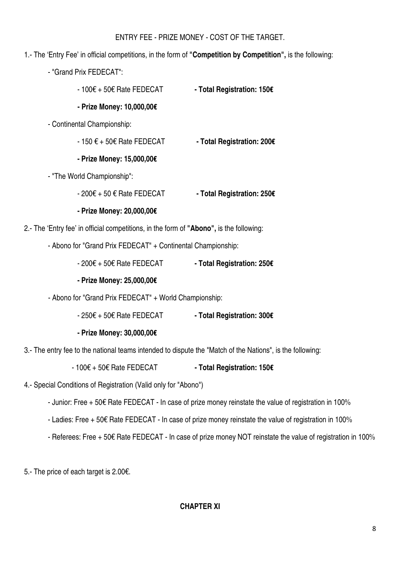#### ENTRY FEE - PRIZE MONEY - COST OF THE TARGET.

- 1.- The 'Entry Fee' in official competitions, in the form of **"Competition by Competition",** is the following:
	- "Grand Prix FEDECAT":
		- 100€ + 50€ Rate FEDECAT  **Total Registration: 150€**

#### **- Prize Money: 10,000,00€**

- Continental Championship:
	- 150 € + 50€ Rate FEDECAT  **Total Registration: 200€**
	- **Prize Money: 15,000,00€**
- "The World Championship":
	- 200€ + 50 € Rate FEDECAT  **Total Registration: 250€**
	- **Prize Money: 20,000,00€**
- 2.- The 'Entry fee' in official competitions, in the form of **"Abono",** is the following:
	- Abono for "Grand Prix FEDECAT" + Continental Championship:
		- 200€ + 50€ Rate FEDECAT  **Total Registration: 250€**
		- **Prize Money: 25,000,00€**
	- Abono for "Grand Prix FEDECAT" + World Championship:
		- 250€ + 50€ Rate FEDECAT  **Total Registration: 300€**
		- **Prize Money: 30,000,00€**
- 3.- The entry fee to the national teams intended to dispute the "Match of the Nations", is the following:

- 100€ + 50€ Rate FEDECAT **- Total Registration: 150€** 

- 4.- Special Conditions of Registration (Valid only for "Abono")
	- Junior: Free + 50€ Rate FEDECAT In case of prize money reinstate the value of registration in 100%
	- Ladies: Free + 50€ Rate FEDECAT In case of prize money reinstate the value of registration in 100%
	- Referees: Free + 50€ Rate FEDECAT In case of prize money NOT reinstate the value of registration in 100%

5.- The price of each target is 2.00€.

#### **CHAPTER XI**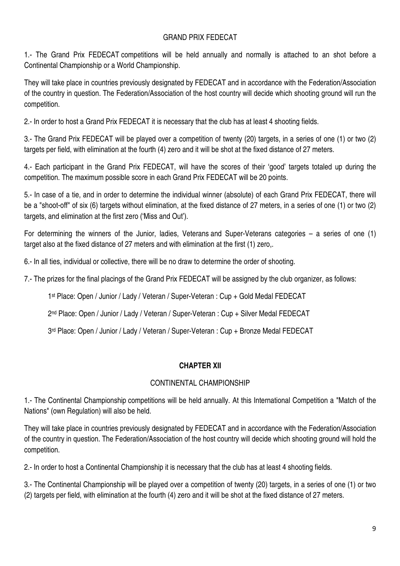#### GRAND PRIX FEDECAT

1.- The Grand Prix FEDECAT competitions will be held annually and normally is attached to an shot before a Continental Championship or a World Championship.

They will take place in countries previously designated by FEDECAT and in accordance with the Federation/Association of the country in question. The Federation/Association of the host country will decide which shooting ground will run the competition.

2.- In order to host a Grand Prix FEDECAT it is necessary that the club has at least 4 shooting fields.

3.- The Grand Prix FEDECAT will be played over a competition of twenty (20) targets, in a series of one (1) or two (2) targets per field, with elimination at the fourth (4) zero and it will be shot at the fixed distance of 27 meters.

4.- Each participant in the Grand Prix FEDECAT, will have the scores of their 'good' targets totaled up during the competition. The maximum possible score in each Grand Prix FEDECAT will be 20 points.

5.- In case of a tie, and in order to determine the individual winner (absolute) of each Grand Prix FEDECAT, there will be a "shoot-off" of six (6) targets without elimination, at the fixed distance of 27 meters, in a series of one (1) or two (2) targets, and elimination at the first zero ('Miss and Out').

For determining the winners of the Junior, ladies, Veterans and Super-Veterans categories – a series of one (1) target also at the fixed distance of 27 meters and with elimination at the first (1) zero,.

6.- In all ties, individual or collective, there will be no draw to determine the order of shooting.

7.- The prizes for the final placings of the Grand Prix FEDECAT will be assigned by the club organizer, as follows:

1 st Place: Open / Junior / Lady / Veteran / Super-Veteran : Cup + Gold Medal FEDECAT

2 nd Place: Open / Junior / Lady / Veteran / Super-Veteran : Cup + Silver Medal FEDECAT

3 rd Place: Open / Junior / Lady / Veteran / Super-Veteran : Cup + Bronze Medal FEDECAT

#### **CHAPTER XII**

#### CONTINENTAL CHAMPIONSHIP

1.- The Continental Championship competitions will be held annually. At this International Competition a "Match of the Nations" (own Regulation) will also be held.

They will take place in countries previously designated by FEDECAT and in accordance with the Federation/Association of the country in question. The Federation/Association of the host country will decide which shooting ground will hold the competition.

2.- In order to host a Continental Championship it is necessary that the club has at least 4 shooting fields.

3.- The Continental Championship will be played over a competition of twenty (20) targets, in a series of one (1) or two (2) targets per field, with elimination at the fourth (4) zero and it will be shot at the fixed distance of 27 meters.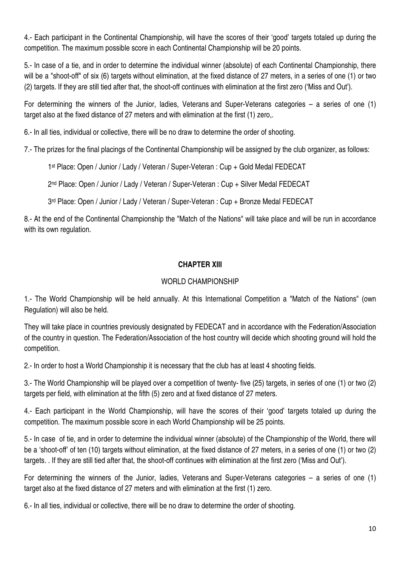4.- Each participant in the Continental Championship, will have the scores of their 'good' targets totaled up during the competition. The maximum possible score in each Continental Championship will be 20 points.

5.- In case of a tie, and in order to determine the individual winner (absolute) of each Continental Championship, there will be a "shoot-off" of six (6) targets without elimination, at the fixed distance of 27 meters, in a series of one (1) or two (2) targets. If they are still tied after that, the shoot-off continues with elimination at the first zero ('Miss and Out').

For determining the winners of the Junior, ladies, Veterans and Super-Veterans categories – a series of one (1) target also at the fixed distance of 27 meters and with elimination at the first (1) zero,.

6.- In all ties, individual or collective, there will be no draw to determine the order of shooting.

7.- The prizes for the final placings of the Continental Championship will be assigned by the club organizer, as follows:

1 st Place: Open / Junior / Lady / Veteran / Super-Veteran : Cup + Gold Medal FEDECAT

2 nd Place: Open / Junior / Lady / Veteran / Super-Veteran : Cup + Silver Medal FEDECAT

3 rd Place: Open / Junior / Lady / Veteran / Super-Veteran : Cup + Bronze Medal FEDECAT

8.- At the end of the Continental Championship the "Match of the Nations" will take place and will be run in accordance with its own regulation.

#### **CHAPTER XIII**

#### WORLD CHAMPIONSHIP

1.- The World Championship will be held annually. At this International Competition a "Match of the Nations" (own Regulation) will also be held.

They will take place in countries previously designated by FEDECAT and in accordance with the Federation/Association of the country in question. The Federation/Association of the host country will decide which shooting ground will hold the competition.

2.- In order to host a World Championship it is necessary that the club has at least 4 shooting fields.

3.- The World Championship will be played over a competition of twenty- five (25) targets, in series of one (1) or two (2) targets per field, with elimination at the fifth (5) zero and at fixed distance of 27 meters.

4.- Each participant in the World Championship, will have the scores of their 'good' targets totaled up during the competition. The maximum possible score in each World Championship will be 25 points.

5.- In case of tie, and in order to determine the individual winner (absolute) of the Championship of the World, there will be a 'shoot-off' of ten (10) targets without elimination, at the fixed distance of 27 meters, in a series of one (1) or two (2) targets. . If they are still tied after that, the shoot-off continues with elimination at the first zero ('Miss and Out').

For determining the winners of the Junior, ladies, Veterans and Super-Veterans categories – a series of one (1) target also at the fixed distance of 27 meters and with elimination at the first (1) zero.

6.- In all ties, individual or collective, there will be no draw to determine the order of shooting.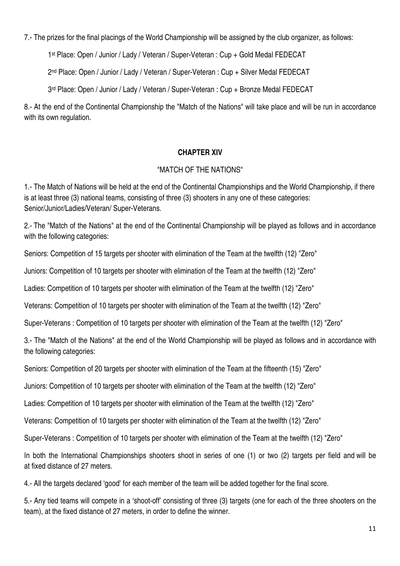7.- The prizes for the final placings of the World Championship will be assigned by the club organizer, as follows:

1 st Place: Open / Junior / Lady / Veteran / Super-Veteran : Cup + Gold Medal FEDECAT

2 nd Place: Open / Junior / Lady / Veteran / Super-Veteran : Cup + Silver Medal FEDECAT

3 rd Place: Open / Junior / Lady / Veteran / Super-Veteran : Cup + Bronze Medal FEDECAT

8.- At the end of the Continental Championship the "Match of the Nations" will take place and will be run in accordance with its own regulation.

#### **CHAPTER XIV**

#### "MATCH OF THE NATIONS"

1.- The Match of Nations will be held at the end of the Continental Championships and the World Championship, if there is at least three (3) national teams, consisting of three (3) shooters in any one of these categories: Senior/Junior/Ladies/Veteran/ Super-Veterans.

2.- The "Match of the Nations" at the end of the Continental Championship will be played as follows and in accordance with the following categories:

Seniors: Competition of 15 targets per shooter with elimination of the Team at the twelfth (12) "Zero"

Juniors: Competition of 10 targets per shooter with elimination of the Team at the twelfth (12) "Zero"

Ladies: Competition of 10 targets per shooter with elimination of the Team at the twelfth (12) "Zero"

Veterans: Competition of 10 targets per shooter with elimination of the Team at the twelfth (12) "Zero"

Super-Veterans : Competition of 10 targets per shooter with elimination of the Team at the twelfth (12) "Zero"

3.- The "Match of the Nations" at the end of the World Championship will be played as follows and in accordance with the following categories:

Seniors: Competition of 20 targets per shooter with elimination of the Team at the fifteenth (15) "Zero"

Juniors: Competition of 10 targets per shooter with elimination of the Team at the twelfth (12) "Zero"

Ladies: Competition of 10 targets per shooter with elimination of the Team at the twelfth (12) "Zero"

Veterans: Competition of 10 targets per shooter with elimination of the Team at the twelfth (12) "Zero"

Super-Veterans : Competition of 10 targets per shooter with elimination of the Team at the twelfth (12) "Zero"

In both the International Championships shooters shoot in series of one (1) or two (2) targets per field and will be at fixed distance of 27 meters.

4.- All the targets declared 'good' for each member of the team will be added together for the final score.

5.- Any tied teams will compete in a 'shoot-off' consisting of three (3) targets (one for each of the three shooters on the team), at the fixed distance of 27 meters, in order to define the winner.